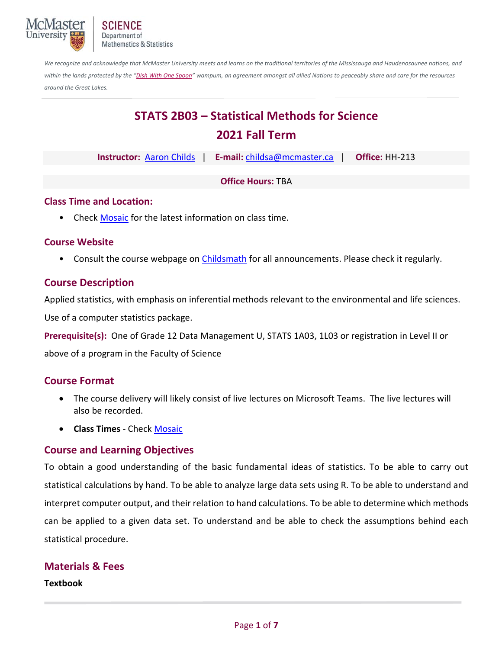

*We recognize and acknowledge that McMaster University meets and learns on the traditional territories of the Mississauga and Haudenosaunee nations, and*  within the lands protected by the "Dish With One Spoon" wampum, an agreement amongst all allied Nations to peaceably share and care for the resources *around the Great Lakes.*

# **STATS 2B03 – Statistical Methods for Science 2021 Fall Term**

|                          |  |  | Instructor: Aaron Childs   E-mail: childsa@mcmaster.ca |  | <b>Office: HH-213</b> |  |  |
|--------------------------|--|--|--------------------------------------------------------|--|-----------------------|--|--|
|                          |  |  |                                                        |  |                       |  |  |
| <b>Office Hours: TBA</b> |  |  |                                                        |  |                       |  |  |

# **Class Time and Location:**

• Check Mosaic for the latest information on class time.

## **Course Website**

• Consult the course webpage on Childsmath for all announcements. Please check it regularly.

# **Course Description**

Applied statistics, with emphasis on inferential methods relevant to the environmental and life sciences.

Use of a computer statistics package.

**Prerequisite(s):** One of Grade 12 Data Management U, STATS 1A03, 1L03 or registration in Level II or

above of a program in the Faculty of Science

## **Course Format**

- The course delivery will likely consist of live lectures on Microsoft Teams. The live lectures will also be recorded.
- **Class Times** ‐ Check Mosaic

# **Course and Learning Objectives**

To obtain a good understanding of the basic fundamental ideas of statistics. To be able to carry out statistical calculations by hand. To be able to analyze large data sets using R. To be able to understand and interpret computer output, and their relation to hand calculations. To be able to determine which methods can be applied to a given data set. To understand and be able to check the assumptions behind each statistical procedure.

## **Materials & Fees**

**Textbook**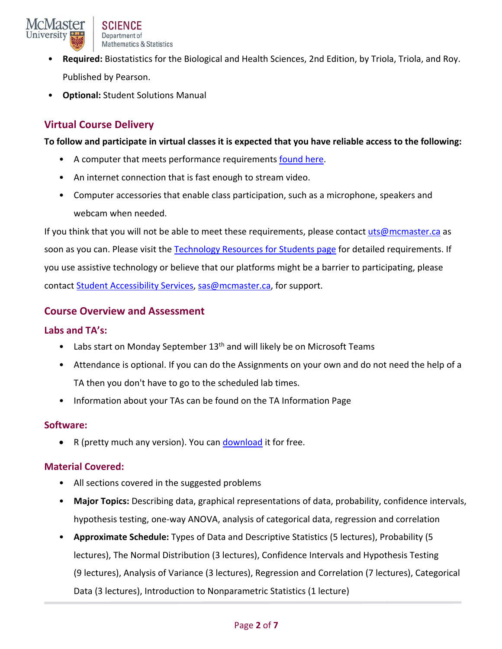

- **Required:** Biostatistics for the Biological and Health Sciences, 2nd Edition, by Triola, Triola, and Roy. Published by Pearson.
- **Optional:** Student Solutions Manual

# **Virtual Course Delivery**

#### **To follow and participate in virtual classes it is expected that you have reliable access to the following:**

- A computer that meets performance requirements found here.
- An internet connection that is fast enough to stream video.
- Computer accessories that enable class participation, such as a microphone, speakers and webcam when needed.

If you think that you will not be able to meet these requirements, please contact uts@mcmaster.ca as soon as you can. Please visit the Technology Resources for Students page for detailed requirements. If you use assistive technology or believe that our platforms might be a barrier to participating, please contact Student Accessibility Services, sas@mcmaster.ca, for support.

## **Course Overview and Assessment**

#### **Labs and TA's:**

- Labs start on Monday September  $13<sup>th</sup>$  and will likely be on Microsoft Teams
- Attendance is optional. If you can do the Assignments on your own and do not need the help of a TA then you don't have to go to the scheduled lab times.
- Information about your TAs can be found on the TA Information Page

#### **Software:**

• R (pretty much any version). You can download it for free.

#### **Material Covered:**

- All sections covered in the suggested problems
- **Major Topics:** Describing data, graphical representations of data, probability, confidence intervals, hypothesis testing, one‐way ANOVA, analysis of categorical data, regression and correlation
- **Approximate Schedule:** Types of Data and Descriptive Statistics (5 lectures), Probability (5 lectures), The Normal Distribution (3 lectures), Confidence Intervals and Hypothesis Testing (9 lectures), Analysis of Variance (3 lectures), Regression and Correlation (7 lectures), Categorical Data (3 lectures), Introduction to Nonparametric Statistics (1 lecture)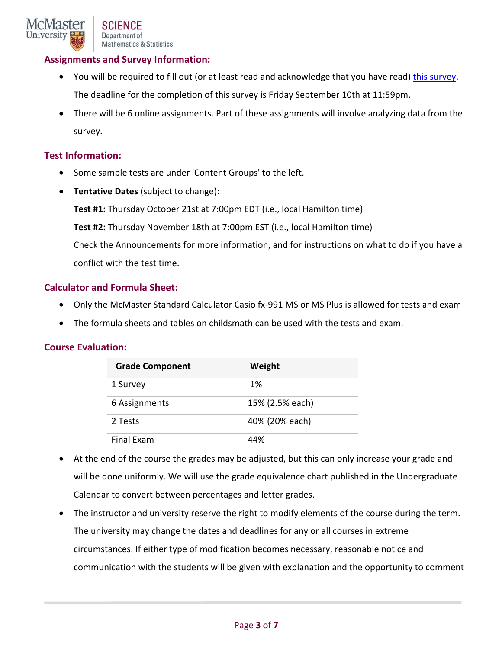## **Assignments and Survey Information:**

- You will be required to fill out (or at least read and acknowledge that you have read) this survey. The deadline for the completion of this survey is Friday September 10th at 11:59pm.
- There will be 6 online assignments. Part of these assignments will involve analyzing data from the survey.

#### **Test Information:**

- Some sample tests are under 'Content Groups' to the left.
- **Tentative Dates** (subject to change):

**Test #1:** Thursday October 21st at 7:00pm EDT (i.e., local Hamilton time)

**Test #2:** Thursday November 18th at 7:00pm EST (i.e., local Hamilton time)

Check the Announcements for more information, and for instructions on what to do if you have a conflict with the test time.

#### **Calculator and Formula Sheet:**

- Only the McMaster Standard Calculator Casio fx‐991 MS or MS Plus is allowed for tests and exam
- The formula sheets and tables on childsmath can be used with the tests and exam.

## **Course Evaluation:**

| <b>Grade Component</b> | Weight          |
|------------------------|-----------------|
| 1 Survey               | 1%              |
| 6 Assignments          | 15% (2.5% each) |
| 2 Tests                | 40% (20% each)  |
| Final Exam             | 44%             |

- At the end of the course the grades may be adjusted, but this can only increase your grade and will be done uniformly. We will use the grade equivalence chart published in the Undergraduate Calendar to convert between percentages and letter grades.
- The instructor and university reserve the right to modify elements of the course during the term. The university may change the dates and deadlines for any or all courses in extreme circumstances. If either type of modification becomes necessary, reasonable notice and communication with the students will be given with explanation and the opportunity to comment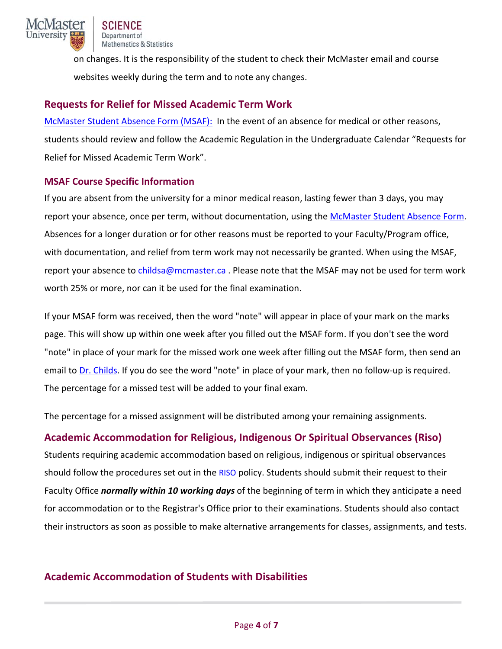

on changes. It is the responsibility of the student to check their McMaster email and course websites weekly during the term and to note any changes.

# **Requests for Relief for Missed Academic Term Work**

McMaster Student Absence Form (MSAF): In the event of an absence for medical or other reasons, students should review and follow the Academic Regulation in the Undergraduate Calendar "Requests for Relief for Missed Academic Term Work".

## **MSAF Course Specific Information**

If you are absent from the university for a minor medical reason, lasting fewer than 3 days, you may report your absence, once per term, without documentation, using the McMaster Student Absence Form. Absences for a longer duration or for other reasons must be reported to your Faculty/Program office, with documentation, and relief from term work may not necessarily be granted. When using the MSAF, report your absence to childsa@mcmaster.ca. Please note that the MSAF may not be used for term work worth 25% or more, nor can it be used for the final examination.

If your MSAF form was received, then the word "note" will appear in place of your mark on the marks page. This will show up within one week after you filled out the MSAF form. If you don't see the word "note" in place of your mark for the missed work one week after filling out the MSAF form, then send an email to Dr. Childs. If you do see the word "note" in place of your mark, then no follow‐up is required. The percentage for a missed test will be added to your final exam.

The percentage for a missed assignment will be distributed among your remaining assignments.

# **Academic Accommodation for Religious, Indigenous Or Spiritual Observances (Riso)**

Students requiring academic accommodation based on religious, indigenous or spiritual observances should follow the procedures set out in the RISO policy. Students should submit their request to their Faculty Office *normally within 10 working days* of the beginning of term in which they anticipate a need for accommodation or to the Registrar's Office prior to their examinations. Students should also contact their instructors as soon as possible to make alternative arrangements for classes, assignments, and tests.

# **Academic Accommodation of Students with Disabilities**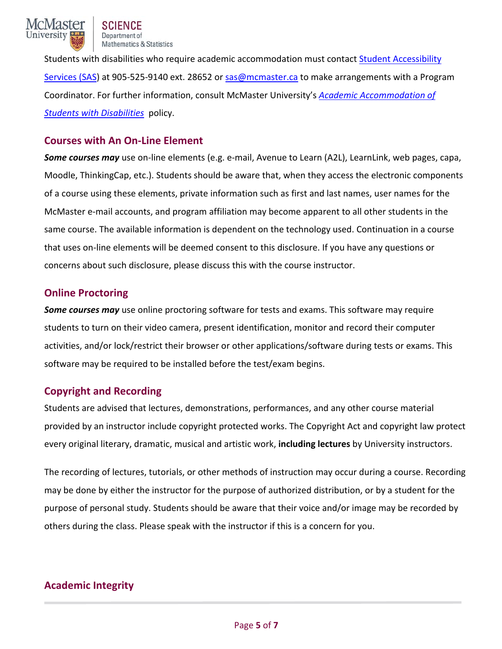

Students with disabilities who require academic accommodation must contact Student Accessibility Services (SAS) at 905‐525‐9140 ext. 28652 or sas@mcmaster.ca to make arrangements with a Program Coordinator. For further information, consult McMaster University's *Academic Accommodation of Students with Disabilities* policy.

## **Courses with An On‐Line Element**

*Some courses may* use on‐line elements (e.g. e‐mail, Avenue to Learn (A2L), LearnLink, web pages, capa, Moodle, ThinkingCap, etc.). Students should be aware that, when they access the electronic components of a course using these elements, private information such as first and last names, user names for the McMaster e‐mail accounts, and program affiliation may become apparent to all other students in the same course. The available information is dependent on the technology used. Continuation in a course that uses on‐line elements will be deemed consent to this disclosure. If you have any questions or concerns about such disclosure, please discuss this with the course instructor.

# **Online Proctoring**

*Some courses may* use online proctoring software for tests and exams. This software may require students to turn on their video camera, present identification, monitor and record their computer activities, and/or lock/restrict their browser or other applications/software during tests or exams. This software may be required to be installed before the test/exam begins.

# **Copyright and Recording**

Students are advised that lectures, demonstrations, performances, and any other course material provided by an instructor include copyright protected works. The Copyright Act and copyright law protect every original literary, dramatic, musical and artistic work, **including lectures** by University instructors.

The recording of lectures, tutorials, or other methods of instruction may occur during a course. Recording may be done by either the instructor for the purpose of authorized distribution, or by a student for the purpose of personal study. Students should be aware that their voice and/or image may be recorded by others during the class. Please speak with the instructor if this is a concern for you.

# **Academic Integrity**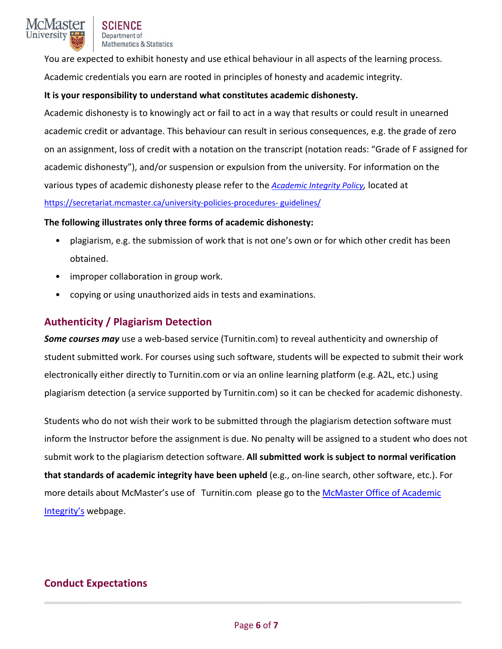

You are expected to exhibit honesty and use ethical behaviour in all aspects of the learning process. Academic credentials you earn are rooted in principles of honesty and academic integrity.

#### **It is your responsibility to understand what constitutes academic dishonesty.**

Academic dishonesty is to knowingly act or fail to act in a way that results or could result in unearned academic credit or advantage. This behaviour can result in serious consequences, e.g. the grade of zero on an assignment, loss of credit with a notation on the transcript (notation reads: "Grade of F assigned for academic dishonesty"), and/or suspension or expulsion from the university. For information on the various types of academic dishonesty please refer to the *Academic Integrity Policy,* located at https://secretariat.mcmaster.ca/university-policies-procedures- guidelines/

#### **The following illustrates only three forms of academic dishonesty:**

- plagiarism, e.g. the submission of work that is not one's own or for which other credit has been obtained.
- improper collaboration in group work.
- copying or using unauthorized aids in tests and examinations.

## **Authenticity / Plagiarism Detection**

**Some courses may** use a web-based service (Turnitin.com) to reveal authenticity and ownership of student submitted work. For courses using such software, students will be expected to submit their work electronically either directly to Turnitin.com or via an online learning platform (e.g. A2L, etc.) using plagiarism detection (a service supported by Turnitin.com) so it can be checked for academic dishonesty.

Students who do not wish their work to be submitted through the plagiarism detection software must inform the Instructor before the assignment is due. No penalty will be assigned to a student who does not submit work to the plagiarism detection software. **All submitted work is subject to normal verification that standards of academic integrity have been upheld** (e.g., on‐line search, other software, etc.). For more details about McMaster's use of Turnitin.com please go to the McMaster Office of Academic Integrity's webpage.

# **Conduct Expectations**